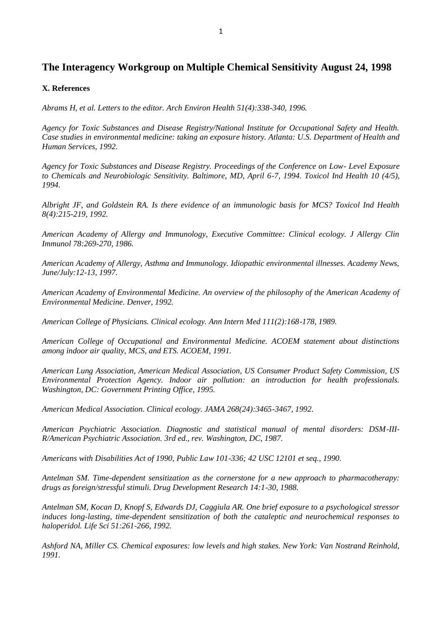## **The Interagency Workgroup on Multiple Chemical Sensitivity August 24, 1998**

## **X. References**

*Abrams H, et al. Letters to the editor. Arch Environ Health 51(4):338-340, 1996.*

*Agency for Toxic Substances and Disease Registry/National Institute for Occupational Safety and Health. Case studies in environmental medicine: taking an exposure history. Atlanta: U.S. Department of Health and Human Services, 1992.*

*Agency for Toxic Substances and Disease Registry. Proceedings of the Conference on Low- Level Exposure to Chemicals and Neurobiologic Sensitivity. Baltimore, MD, April 6-7, 1994. Toxicol Ind Health 10 (4/5), 1994.*

*Albright JF, and Goldstein RA. Is there evidence of an immunologic basis for MCS? Toxicol Ind Health 8(4):215-219, 1992.*

*American Academy of Allergy and Immunology, Executive Committee: Clinical ecology. J Allergy Clin Immunol 78:269-270, 1986.*

*American Academy of Allergy, Asthma and Immunology. Idiopathic environmental illnesses. Academy News, June/July:12-13, 1997.*

*American Academy of Environmental Medicine. An overview of the philosophy of the American Academy of Environmental Medicine. Denver, 1992.*

*American College of Physicians. Clinical ecology. Ann Intern Med 111(2):168-178, 1989.*

*American College of Occupational and Environmental Medicine. ACOEM statement about distinctions among indoor air quality, MCS, and ETS. ACOEM, 1991.*

*American Lung Association, American Medical Association, US Consumer Product Safety Commission, US Environmental Protection Agency. Indoor air pollution: an introduction for health professionals. Washington, DC: Government Printing Office, 1995.*

*American Medical Association. Clinical ecology. JAMA 268(24):3465-3467, 1992.*

*American Psychiatric Association. Diagnostic and statistical manual of mental disorders: DSM-III-R/American Psychiatric Association. 3rd ed., rev. Washington, DC, 1987.*

*Americans with Disabilities Act of 1990, Public Law 101-336; 42 USC 12101 et seq., 1990.*

*Antelman SM. Time-dependent sensitization as the cornerstone for a new approach to pharmacotherapy: drugs as foreign/stressful stimuli. Drug Development Research 14:1-30, 1988.*

*Antelman SM, Kocan D, Knopf S, Edwards DJ, Caggiula AR. One brief exposure to a psychological stressor induces long-lasting, time-dependent sensitization of both the cataleptic and neurochemical responses to haloperidol. Life Sci 51:261-266, 1992.*

*Ashford NA, Miller CS. Chemical exposures: low levels and high stakes. New York: Van Nostrand Reinhold, 1991.*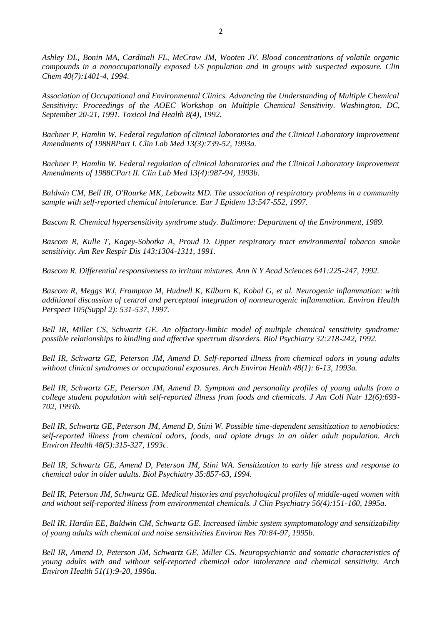*Ashley DL, Bonin MA, Cardinali FL, McCraw JM, Wooten JV. Blood concentrations of volatile organic compounds in a nonoccupationally exposed US population and in groups with suspected exposure. Clin Chem 40(7):1401-4, 1994.*

*Association of Occupational and Environmental Clinics. Advancing the Understanding of Multiple Chemical Sensitivity: Proceedings of the AOEC Workshop on Multiple Chemical Sensitivity. Washington, DC, September 20-21, 1991. Toxicol Ind Health 8(4), 1992.*

*Bachner P, Hamlin W. Federal regulation of clinical laboratories and the Clinical Laboratory Improvement Amendments of 1988BPart I. Clin Lab Med 13(3):739-52, 1993a.*

*Bachner P, Hamlin W. Federal regulation of clinical laboratories and the Clinical Laboratory Improvement Amendments of 1988CPart II. Clin Lab Med 13(4):987-94, 1993b.*

*Baldwin CM, Bell IR, O'Rourke MK, Lebowitz MD. The association of respiratory problems in a community sample with self-reported chemical intolerance. Eur J Epidem 13:547-552, 1997.*

*Bascom R. Chemical hypersensitivity syndrome study. Baltimore: Department of the Environment, 1989.*

*Bascom R, Kulle T, Kagey-Sobotka A, Proud D. Upper respiratory tract environmental tobacco smoke sensitivity. Am Rev Respir Dis 143:1304-1311, 1991.*

*Bascom R. Differential responsiveness to irritant mixtures. Ann N Y Acad Sciences 641:225-247, 1992.*

*Bascom R, Meggs WJ, Frampton M, Hudnell K, Kilburn K, Kobal G, et al. Neurogenic inflammation: with additional discussion of central and perceptual integration of nonneurogenic inflammation. Environ Health Perspect 105(Suppl 2): 531-537, 1997.*

*Bell IR, Miller CS, Schwartz GE. An olfactory-limbic model of multiple chemical sensitivity syndrome: possible relationships to kindling and affective spectrum disorders. Biol Psychiatry 32:218-242, 1992.*

*Bell IR, Schwartz GE, Peterson JM, Amend D. Self-reported illness from chemical odors in young adults without clinical syndromes or occupational exposures. Arch Environ Health 48(1): 6-13, 1993a.*

*Bell IR, Schwartz GE, Peterson JM, Amend D. Symptom and personality profiles of young adults from a college student population with self-reported illness from foods and chemicals. J Am Coll Nutr 12(6):693- 702, 1993b.*

*Bell IR, Schwartz GE, Peterson JM, Amend D, Stini W. Possible time-dependent sensitization to xenobiotics: self-reported illness from chemical odors, foods, and opiate drugs in an older adult population. Arch Environ Health 48(5):315-327, 1993c.*

*Bell IR, Schwartz GE, Amend D, Peterson JM, Stini WA. Sensitization to early life stress and response to chemical odor in older adults. Biol Psychiatry 35:857-63, 1994.*

*Bell IR, Peterson JM, Schwartz GE. Medical histories and psychological profiles of middle-aged women with and without self-reported illness from environmental chemicals. J Clin Psychiatry 56(4):151-160, 1995a.*

*Bell IR, Hardin EE, Baldwin CM, Schwartz GE. Increased limbic system symptomatology and sensitizability of young adults with chemical and noise sensitivities Environ Res 70:84-97, 1995b.*

*Bell IR, Amend D, Peterson JM, Schwartz GE, Miller CS. Neuropsychiatric and somatic characteristics of young adults with and without self-reported chemical odor intolerance and chemical sensitivity. Arch Environ Health 51(1):9-20, 1996a.*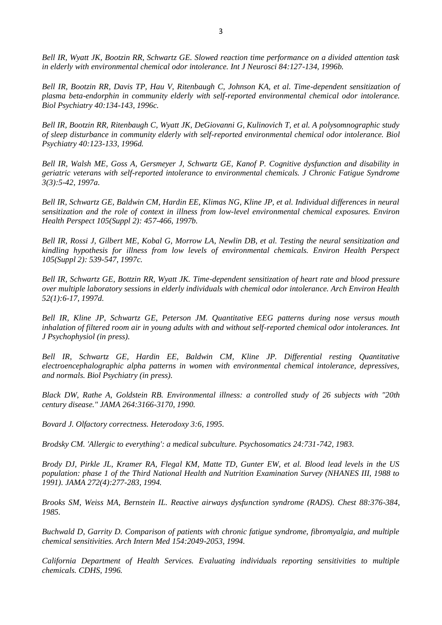*Bell IR, Wyatt JK, Bootzin RR, Schwartz GE. Slowed reaction time performance on a divided attention task in elderly with environmental chemical odor intolerance. Int J Neurosci 84:127-134, 1996b.*

*Bell IR, Bootzin RR, Davis TP, Hau V, Ritenbaugh C, Johnson KA, et al. Time-dependent sensitization of plasma beta-endorphin in community elderly with self-reported environmental chemical odor intolerance. Biol Psychiatry 40:134-143, 1996c.*

*Bell IR, Bootzin RR, Ritenbaugh C, Wyatt JK, DeGiovanni G, Kulinovich T, et al. A polysomnographic study of sleep disturbance in community elderly with self-reported environmental chemical odor intolerance. Biol Psychiatry 40:123-133, 1996d.*

*Bell IR, Walsh ME, Goss A, Gersmeyer J, Schwartz GE, Kanof P. Cognitive dysfunction and disability in geriatric veterans with self-reported intolerance to environmental chemicals. J Chronic Fatigue Syndrome 3(3):5-42, 1997a.*

*Bell IR, Schwartz GE, Baldwin CM, Hardin EE, Klimas NG, Kline JP, et al. Individual differences in neural sensitization and the role of context in illness from low-level environmental chemical exposures. Environ Health Perspect 105(Suppl 2): 457-466, 1997b.*

*Bell IR, Rossi J, Gilbert ME, Kobal G, Morrow LA, Newlin DB, et al. Testing the neural sensitization and kindling hypothesis for illness from low levels of environmental chemicals. Environ Health Perspect 105(Suppl 2): 539-547, 1997c.*

*Bell IR, Schwartz GE, Bottzin RR, Wyatt JK. Time-dependent sensitization of heart rate and blood pressure over multiple laboratory sessions in elderly individuals with chemical odor intolerance. Arch Environ Health 52(1):6-17, 1997d.*

*Bell IR, Kline JP, Schwartz GE, Peterson JM. Quantitative EEG patterns during nose versus mouth*  inhalation of filtered room air in young adults with and without self-reported chemical odor intolerances. Int *J Psychophysiol (in press).*

*Bell IR, Schwartz GE, Hardin EE, Baldwin CM, Kline JP. Differential resting Quantitative electroencephalographic alpha patterns in women with environmental chemical intolerance, depressives, and normals. Biol Psychiatry (in press).*

*Black DW, Rathe A, Goldstein RB. Environmental illness: a controlled study of 26 subjects with "20th century disease." JAMA 264:3166-3170, 1990.*

*Bovard J. Olfactory correctness. Heterodoxy 3:6, 1995.*

*Brodsky CM. 'Allergic to everything': a medical subculture. Psychosomatics 24:731-742, 1983.*

*Brody DJ, Pirkle JL, Kramer RA, Flegal KM, Matte TD, Gunter EW, et al. Blood lead levels in the US population: phase 1 of the Third National Health and Nutrition Examination Survey (NHANES III, 1988 to 1991). JAMA 272(4):277-283, 1994.*

*Brooks SM, Weiss MA, Bernstein IL. Reactive airways dysfunction syndrome (RADS). Chest 88:376-384, 1985.*

*Buchwald D, Garrity D. Comparison of patients with chronic fatigue syndrome, fibromyalgia, and multiple chemical sensitivities. Arch Intern Med 154:2049-2053, 1994.*

*California Department of Health Services. Evaluating individuals reporting sensitivities to multiple chemicals. CDHS, 1996.*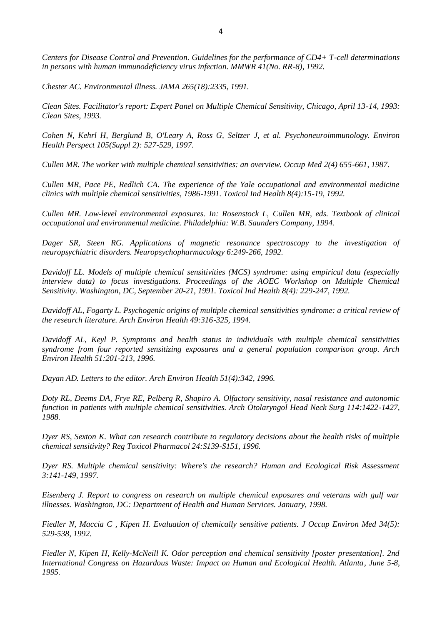*Centers for Disease Control and Prevention. Guidelines for the performance of CD4+ T-cell determinations in persons with human immunodeficiency virus infection. MMWR 41(No. RR-8), 1992.*

*Chester AC. Environmental illness. JAMA 265(18):2335, 1991.*

*Clean Sites. Facilitator's report: Expert Panel on Multiple Chemical Sensitivity, Chicago, April 13-14, 1993: Clean Sites, 1993.*

*Cohen N, Kehrl H, Berglund B, O'Leary A, Ross G, Seltzer J, et al. Psychoneuroimmunology. Environ Health Perspect 105(Suppl 2): 527-529, 1997.*

*Cullen MR. The worker with multiple chemical sensitivities: an overview. Occup Med 2(4) 655-661, 1987.*

*Cullen MR, Pace PE, Redlich CA. The experience of the Yale occupational and environmental medicine clinics with multiple chemical sensitivities, 1986-1991. Toxicol Ind Health 8(4):15-19, 1992.*

*Cullen MR. Low-level environmental exposures. In: Rosenstock L, Cullen MR, eds. Textbook of clinical occupational and environmental medicine. Philadelphia: W.B. Saunders Company, 1994.*

*Dager SR, Steen RG. Applications of magnetic resonance spectroscopy to the investigation of neuropsychiatric disorders. Neuropsychopharmacology 6:249-266, 1992.*

*Davidoff LL. Models of multiple chemical sensitivities (MCS) syndrome: using empirical data (especially interview data) to focus investigations. Proceedings of the AOEC Workshop on Multiple Chemical Sensitivity. Washington, DC, September 20-21, 1991. Toxicol Ind Health 8(4): 229-247, 1992.*

*Davidoff AL, Fogarty L. Psychogenic origins of multiple chemical sensitivities syndrome: a critical review of the research literature. Arch Environ Health 49:316-325, 1994.*

*Davidoff AL, Keyl P. Symptoms and health status in individuals with multiple chemical sensitivities syndrome from four reported sensitizing exposures and a general population comparison group. Arch Environ Health 51:201-213, 1996.*

*Dayan AD. Letters to the editor. Arch Environ Health 51(4):342, 1996.*

*Doty RL, Deems DA, Frye RE, Pelberg R, Shapiro A. Olfactory sensitivity, nasal resistance and autonomic function in patients with multiple chemical sensitivities. Arch Otolaryngol Head Neck Surg 114:1422-1427, 1988.*

*Dyer RS, Sexton K. What can research contribute to regulatory decisions about the health risks of multiple chemical sensitivity? Reg Toxicol Pharmacol 24:S139-S151, 1996.*

*Dyer RS. Multiple chemical sensitivity: Where's the research? Human and Ecological Risk Assessment 3:141-149, 1997.*

*Eisenberg J. Report to congress on research on multiple chemical exposures and veterans with gulf war illnesses. Washington, DC: Department of Health and Human Services. January, 1998.*

*Fiedler N, Maccia C , Kipen H. Evaluation of chemically sensitive patients. J Occup Environ Med 34(5): 529-538, 1992.*

*Fiedler N, Kipen H, Kelly-McNeill K. Odor perception and chemical sensitivity [poster presentation]. 2nd International Congress on Hazardous Waste: Impact on Human and Ecological Health. Atlanta, June 5-8, 1995.*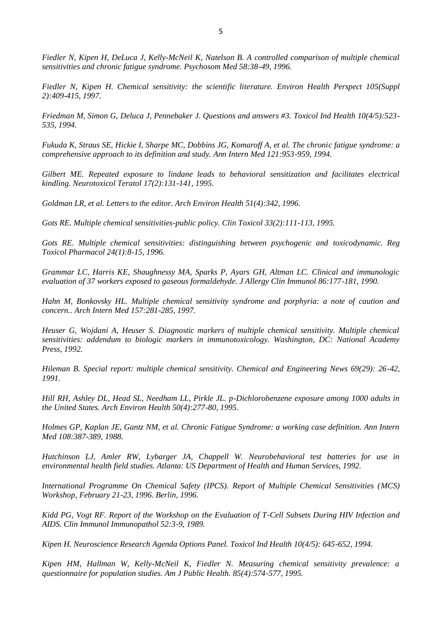*Fiedler N, Kipen H, DeLuca J, Kelly-McNeil K, Natelson B. A controlled comparison of multiple chemical sensitivities and chronic fatigue syndrome. Psychosom Med 58:38-49, 1996.*

*Fiedler N, Kipen H. Chemical sensitivity: the scientific literature. Environ Health Perspect 105(Suppl 2):409-415, 1997.*

*Friedman M, Simon G, Deluca J, Pennebaker J. Questions and answers #3. Toxicol Ind Health 10(4/5):523- 535, 1994.*

*Fukuda K, Straus SE, Hickie I, Sharpe MC, Dobbins JG, Komaroff A, et al. The chronic fatigue syndrome: a comprehensive approach to its definition and study. Ann Intern Med 121:953-959, 1994.*

*Gilbert ME. Repeated exposure to lindane leads to behavioral sensitization and facilitates electrical kindling. Neurotoxicol Teratol 17(2):131-141, 1995.*

*Goldman LR, et al. Letters to the editor. Arch Environ Health 51(4):342, 1996.*

*Gots RE. Multiple chemical sensitivities-public policy. Clin Toxicol 33(2):111-113, 1995.*

*Gots RE. Multiple chemical sensitivities: distinguishing between psychogenic and toxicodynamic. Reg Toxicol Pharmacol 24(1):8-15, 1996.*

*Grammar LC, Harris KE, Shaughnessy MA, Sparks P, Ayars GH, Altman LC. Clinical and immunologic evaluation of 37 workers exposed to gaseous formaldehyde. J Allergy Clin Immunol 86:177-181, 1990.*

*Hahn M, Bonkovsky HL. Multiple chemical sensitivity syndrome and porphyria: a note of caution and concern.. Arch Intern Med 157:281-285, 1997.*

*Heuser G, Wojdani A, Heuser S. Diagnostic markers of multiple chemical sensitivity. Multiple chemical sensitivities: addendum to biologic markers in immunotoxicology. Washington, DC: National Academy Press, 1992.*

*Hileman B. Special report: multiple chemical sensitivity. Chemical and Engineering News 69(29): 26-42, 1991.*

*Hill RH, Ashley DL, Head SL, Needham LL, Pirkle JL. p-Dichlorobenzene exposure among 1000 adults in the United States. Arch Environ Health 50(4):277-80, 1995.*

*Holmes GP, Kaplan JE, Gantz NM, et al. Chronic Fatigue Syndrome: a working case definition. Ann Intern Med 108:387-389, 1988.*

*Hutchinson LJ, Amler RW, Lybarger JA, Chappell W. Neurobehavioral test batteries for use in environmental health field studies. Atlanta: US Department of Health and Human Services, 1992.*

*International Programme On Chemical Safety (IPCS). Report of Multiple Chemical Sensitivities (MCS) Workshop, February 21-23, 1996. Berlin, 1996.*

*Kidd PG, Vogt RF. Report of the Workshop on the Evaluation of T-Cell Subsets During HIV Infection and AIDS. Clin Immunol Immunopathol 52:3-9, 1989.*

*Kipen H. Neuroscience Research Agenda Options Panel. Toxicol Ind Health 10(4/5): 645-652, 1994.*

*Kipen HM, Hallman W, Kelly-McNeil K, Fiedler N. Measuring chemical sensitivity prevalence: a questionnaire for population studies. Am J Public Health. 85(4):574-577, 1995.*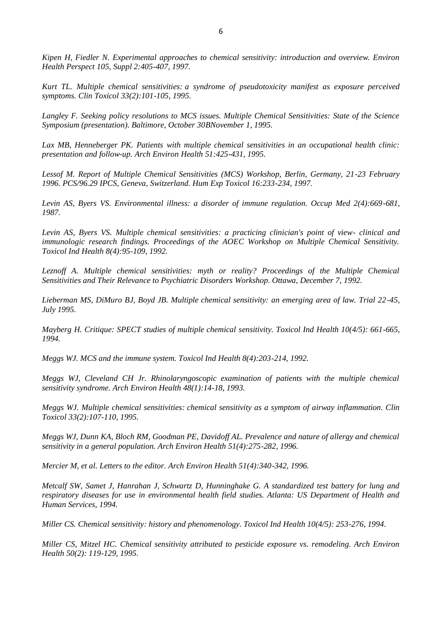*Kipen H, Fiedler N. Experimental approaches to chemical sensitivity: introduction and overview. Environ Health Perspect 105, Suppl 2:405-407, 1997.*

*Kurt TL. Multiple chemical sensitivities: a syndrome of pseudotoxicity manifest as exposure perceived symptoms. Clin Toxicol 33(2):101-105, 1995.*

*Langley F. Seeking policy resolutions to MCS issues. Multiple Chemical Sensitivities: State of the Science Symposium (presentation). Baltimore, October 30BNovember 1, 1995.*

Lax MB, Henneberger PK. Patients with multiple chemical sensitivities in an occupational health clinic: *presentation and follow-up. Arch Environ Health 51:425-431, 1995.*

*Lessof M. Report of Multiple Chemical Sensitivities (MCS) Workshop, Berlin, Germany, 21-23 February 1996. PCS/96.29 IPCS, Geneva, Switzerland. Hum Exp Toxicol 16:233-234, 1997.*

*Levin AS, Byers VS. Environmental illness: a disorder of immune regulation. Occup Med 2(4):669-681, 1987.*

*Levin AS, Byers VS. Multiple chemical sensitivities: a practicing clinician's point of view- clinical and immunologic research findings. Proceedings of the AOEC Workshop on Multiple Chemical Sensitivity. Toxicol Ind Health 8(4):95-109, 1992.*

*Leznoff A. Multiple chemical sensitivities: myth or reality? Proceedings of the Multiple Chemical Sensitivities and Their Relevance to Psychiatric Disorders Workshop. Ottawa, December 7, 1992.*

*Lieberman MS, DiMuro BJ, Boyd JB. Multiple chemical sensitivity: an emerging area of law. Trial 22-45, July 1995.*

*Mayberg H. Critique: SPECT studies of multiple chemical sensitivity. Toxicol Ind Health 10(4/5): 661-665, 1994.*

*Meggs WJ. MCS and the immune system. Toxicol Ind Health 8(4):203-214, 1992.*

*Meggs WJ, Cleveland CH Jr. Rhinolaryngoscopic examination of patients with the multiple chemical sensitivity syndrome. Arch Environ Health 48(1):14-18, 1993.*

*Meggs WJ. Multiple chemical sensitivities: chemical sensitivity as a symptom of airway inflammation. Clin Toxicol 33(2):107-110, 1995.*

*Meggs WJ, Dunn KA, Bloch RM, Goodman PE, Davidoff AL. Prevalence and nature of allergy and chemical sensitivity in a general population. Arch Environ Health 51(4):275-282, 1996.*

*Mercier M, et al. Letters to the editor. Arch Environ Health 51(4):340-342, 1996.*

*Metcalf SW, Samet J, Hanrahan J, Schwartz D, Hunninghake G. A standardized test battery for lung and respiratory diseases for use in environmental health field studies. Atlanta: US Department of Health and Human Services, 1994.*

*Miller CS. Chemical sensitivity: history and phenomenology. Toxicol Ind Health 10(4/5): 253-276, 1994.*

*Miller CS, Mitzel HC. Chemical sensitivity attributed to pesticide exposure vs. remodeling. Arch Environ Health 50(2): 119-129, 1995.*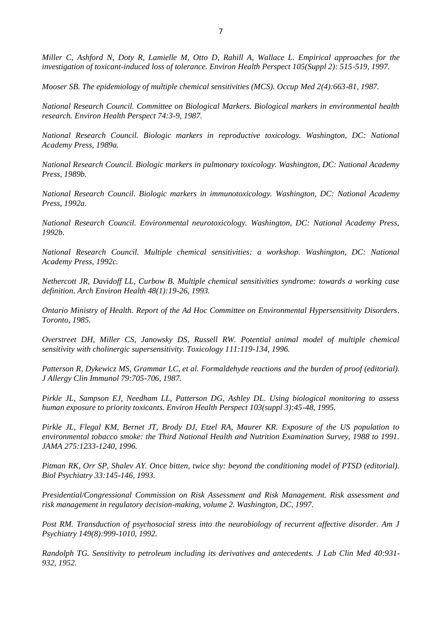*Miller C, Ashford N, Doty R, Lamielle M, Otto D, Rahill A, Wallace L. Empirical approaches for the investigation of toxicant-induced loss of tolerance. Environ Health Perspect 105(Suppl 2): 515-519, 1997.*

*Mooser SB. The epidemiology of multiple chemical sensitivities (MCS). Occup Med 2(4):663-81, 1987.*

*National Research Council. Committee on Biological Markers. Biological markers in environmental health research. Environ Health Perspect 74:3-9, 1987.*

*National Research Council. Biologic markers in reproductive toxicology. Washington, DC: National Academy Press, 1989a.*

*National Research Council. Biologic markers in pulmonary toxicology. Washington, DC: National Academy Press, 1989b.*

*National Research Council. Biologic markers in immunotoxicology. Washington, DC: National Academy Press, 1992a.*

*National Research Council. Environmental neurotoxicology. Washington, DC: National Academy Press, 1992b.*

*National Research Council. Multiple chemical sensitivities: a workshop. Washington, DC: National Academy Press, 1992c.*

*Nethercott JR, Davidoff LL, Curbow B. Multiple chemical sensitivities syndrome: towards a working case definition. Arch Environ Health 48(1):19-26, 1993.*

*Ontario Ministry of Health. Report of the Ad Hoc Committee on Environmental Hypersensitivity Disorders. Toronto, 1985.*

*Overstreet DH, Miller CS, Janowsky DS, Russell RW. Potential animal model of multiple chemical sensitivity with cholinergic supersensitivity. Toxicology 111:119-134, 1996.*

*Patterson R, Dykewicz MS, Grammar LC, et al. Formaldehyde reactions and the burden of proof (editorial). J Allergy Clin Immunol 79:705-706, 1987.*

*Pirkle JL, Sampson EJ, Needham LL, Patterson DG, Ashley DL. Using biological monitoring to assess human exposure to priority toxicants. Environ Health Perspect 103(suppl 3):45-48, 1995.*

*Pirkle JL, Flegal KM, Bernet JT, Brody DJ, Etzel RA, Maurer KR. Exposure of the US population to environmental tobacco smoke: the Third National Health and Nutrition Examination Survey, 1988 to 1991. JAMA 275:1233-1240, 1996.*

*Pitman RK, Orr SP, Shalev AY. Once bitten, twice shy: beyond the conditioning model of PTSD (editorial). Biol Psychiatry 33:145-146, 1993.*

*Presidential/Congressional Commission on Risk Assessment and Risk Management. Risk assessment and risk management in regulatory decision-making, volume 2. Washington, DC, 1997.*

*Post RM. Transduction of psychosocial stress into the neurobiology of recurrent affective disorder. Am J Psychiatry 149(8):999-1010, 1992.*

*Randolph TG. Sensitivity to petroleum including its derivatives and antecedents. J Lab Clin Med 40:931- 932, 1952.*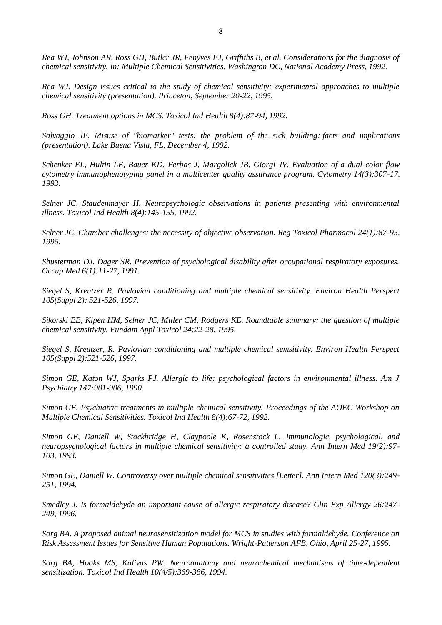*Rea WJ, Johnson AR, Ross GH, Butler JR, Fenyves EJ, Griffiths B, et al. Considerations for the diagnosis of chemical sensitivity. In: Multiple Chemical Sensitivities. Washington DC, National Academy Press, 1992.*

*Rea WJ. Design issues critical to the study of chemical sensitivity: experimental approaches to multiple chemical sensitivity (presentation). Princeton, September 20-22, 1995.*

*Ross GH. Treatment options in MCS. Toxicol Ind Health 8(4):87-94, 1992.*

*Salvaggio JE. Misuse of "biomarker" tests: the problem of the sick building: facts and implications (presentation). Lake Buena Vista, FL, December 4, 1992.*

*Schenker EL, Hultin LE, Bauer KD, Ferbas J, Margolick JB, Giorgi JV. Evaluation of a dual-color flow cytometry immunophenotyping panel in a multicenter quality assurance program. Cytometry 14(3):307-17, 1993.*

*Selner JC, Staudenmayer H. Neuropsychologic observations in patients presenting with environmental illness. Toxicol Ind Health 8(4):145-155, 1992.*

*Selner JC. Chamber challenges: the necessity of objective observation. Reg Toxicol Pharmacol 24(1):87-95, 1996.*

*Shusterman DJ, Dager SR. Prevention of psychological disability after occupational respiratory exposures. Occup Med 6(1):11-27, 1991.*

*Siegel S, Kreutzer R. Pavlovian conditioning and multiple chemical sensitivity. Environ Health Perspect 105(Suppl 2): 521-526, 1997.*

*Sikorski EE, Kipen HM, Selner JC, Miller CM, Rodgers KE. Roundtable summary: the question of multiple chemical sensitivity. Fundam Appl Toxicol 24:22-28, 1995.*

*Siegel S, Kreutzer, R. Pavlovian conditioning and multiple chemical semsitivity. Environ Health Perspect 105(Suppl 2):521-526, 1997.*

*Simon GE, Katon WJ, Sparks PJ. Allergic to life: psychological factors in environmental illness. Am J Psychiatry 147:901-906, 1990.*

*Simon GE. Psychiatric treatments in multiple chemical sensitivity. Proceedings of the AOEC Workshop on Multiple Chemical Sensitivities. Toxicol Ind Health 8(4):67-72, 1992.*

*Simon GE, Daniell W, Stockbridge H, Claypoole K, Rosenstock L. Immunologic, psychological, and neuropsychological factors in multiple chemical sensitivity: a controlled study. Ann Intern Med 19(2):97- 103, 1993.*

*Simon GE, Daniell W. Controversy over multiple chemical sensitivities [Letter]. Ann Intern Med 120(3):249- 251, 1994.*

*Smedley J. Is formaldehyde an important cause of allergic respiratory disease? Clin Exp Allergy 26:247- 249, 1996.*

*Sorg BA. A proposed animal neurosensitization model for MCS in studies with formaldehyde. Conference on Risk Assessment Issues for Sensitive Human Populations. Wright-Patterson AFB, Ohio, April 25-27, 1995.*

*Sorg BA, Hooks MS, Kalivas PW. Neuroanatomy and neurochemical mechanisms of time-dependent sensitization. Toxicol Ind Health 10(4/5):369-386, 1994.*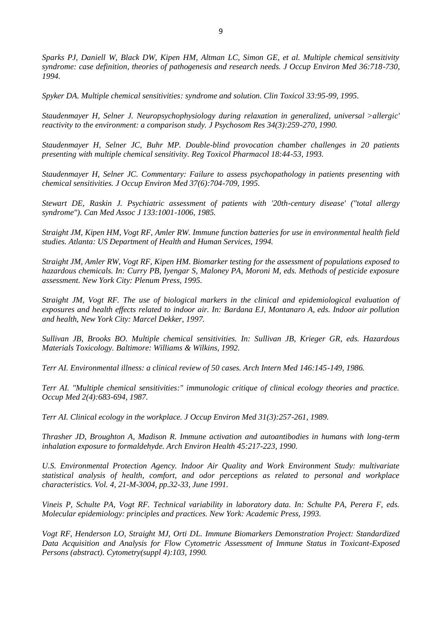*Sparks PJ, Daniell W, Black DW, Kipen HM, Altman LC, Simon GE, et al. Multiple chemical sensitivity syndrome: case definition, theories of pathogenesis and research needs. J Occup Environ Med 36:718-730, 1994.*

*Spyker DA. Multiple chemical sensitivities: syndrome and solution. Clin Toxicol 33:95-99, 1995.*

*Staudenmayer H, Selner J. Neuropsychophysiology during relaxation in generalized, universal >allergic' reactivity to the environment: a comparison study. J Psychosom Res 34(3):259-270, 1990.*

*Staudenmayer H, Selner JC, Buhr MP. Double-blind provocation chamber challenges in 20 patients presenting with multiple chemical sensitivity. Reg Toxicol Pharmacol 18:44-53, 1993.*

*Staudenmayer H, Selner JC. Commentary: Failure to assess psychopathology in patients presenting with chemical sensitivities. J Occup Environ Med 37(6):704-709, 1995.*

*Stewart DE, Raskin J. Psychiatric assessment of patients with '20th-century disease' ("total allergy syndrome"). Can Med Assoc J 133:1001-1006, 1985.*

*Straight JM, Kipen HM, Vogt RF, Amler RW. Immune function batteries for use in environmental health field studies. Atlanta: US Department of Health and Human Services, 1994.*

*Straight JM, Amler RW, Vogt RF, Kipen HM. Biomarker testing for the assessment of populations exposed to hazardous chemicals. In: Curry PB, Iyengar S, Maloney PA, Moroni M, eds. Methods of pesticide exposure assessment. New York City: Plenum Press, 1995.*

*Straight JM, Vogt RF. The use of biological markers in the clinical and epidemiological evaluation of exposures and health effects related to indoor air. In: Bardana EJ, Montanaro A, eds. Indoor air pollution and health, New York City: Marcel Dekker, 1997.*

*Sullivan JB, Brooks BO. Multiple chemical sensitivities. In: Sullivan JB, Krieger GR, eds. Hazardous Materials Toxicology. Baltimore: Williams & Wilkins, 1992.*

*Terr AI. Environmental illness: a clinical review of 50 cases. Arch Intern Med 146:145-149, 1986.*

*Terr AI. "Multiple chemical sensitivities:" immunologic critique of clinical ecology theories and practice. Occup Med 2(4):683-694, 1987.*

*Terr AI. Clinical ecology in the workplace. J Occup Environ Med 31(3):257-261, 1989.*

*Thrasher JD, Broughton A, Madison R. Immune activation and autoantibodies in humans with long-term inhalation exposure to formaldehyde. Arch Environ Health 45:217-223, 1990.*

*U.S. Environmental Protection Agency. Indoor Air Quality and Work Environment Study: multivariate statistical analysis of health, comfort, and odor perceptions as related to personal and workplace characteristics. Vol. 4, 21-M-3004, pp.32-33, June 1991.*

*Vineis P, Schulte PA, Vogt RF. Technical variability in laboratory data. In: Schulte PA, Perera F, eds. Molecular epidemiology: principles and practices. New York: Academic Press, 1993.*

*Vogt RF, Henderson LO, Straight MJ, Orti DL. Immune Biomarkers Demonstration Project: Standardized Data Acquisition and Analysis for Flow Cytometric Assessment of Immune Status in Toxicant-Exposed Persons (abstract). Cytometry(suppl 4):103, 1990.*